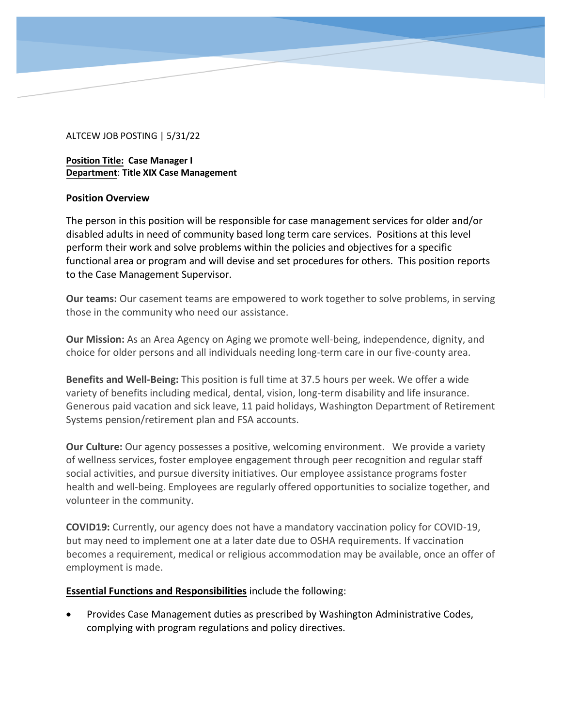## ALTCEW JOB POSTING | 5/31/22

**Position Title: Case Manager I Department**: **Title XIX Case Management** 

#### **Position Overview**

The person in this position will be responsible for case management services for older and/or disabled adults in need of community based long term care services. Positions at this level perform their work and solve problems within the policies and objectives for a specific functional area or program and will devise and set procedures for others. This position reports to the Case Management Supervisor.

**Our teams:** Our casement teams are empowered to work together to solve problems, in serving those in the community who need our assistance.

**Our Mission:** As an Area Agency on Aging we promote well-being, independence, dignity, and choice for older persons and all individuals needing long-term care in our five-county area.

**Benefits and Well-Being:** This position is full time at 37.5 hours per week. We offer a wide variety of benefits including medical, dental, vision, long-term disability and life insurance. Generous paid vacation and sick leave, 11 paid holidays, Washington Department of Retirement Systems pension/retirement plan and FSA accounts.

**Our Culture:** Our agency possesses a positive, welcoming environment. We provide a variety of wellness services, foster employee engagement through peer recognition and regular staff social activities, and pursue diversity initiatives. Our employee assistance programs foster health and well-being. Employees are regularly offered opportunities to socialize together, and volunteer in the community.

**COVID19:** Currently, our agency does not have a mandatory vaccination policy for COVID-19, but may need to implement one at a later date due to OSHA requirements. If vaccination becomes a requirement, medical or religious accommodation may be available, once an offer of employment is made.

## **Essential Functions and Responsibilities** include the following:

• Provides Case Management duties as prescribed by Washington Administrative Codes, complying with program regulations and policy directives.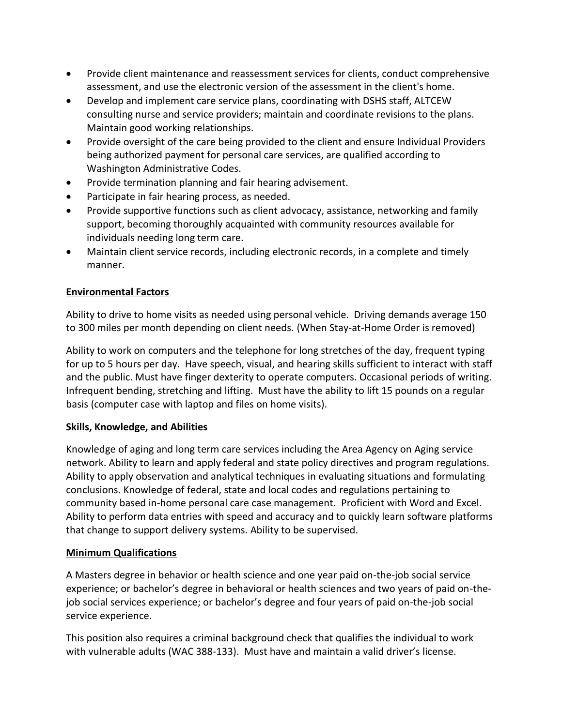- Provide client maintenance and reassessment services for clients, conduct comprehensive assessment, and use the electronic version of the assessment in the client's home.
- Develop and implement care service plans, coordinating with DSHS staff, ALTCEW consulting nurse and service providers; maintain and coordinate revisions to the plans. Maintain good working relationships.
- Provide oversight of the care being provided to the client and ensure Individual Providers being authorized payment for personal care services, are qualified according to Washington Administrative Codes.
- Provide termination planning and fair hearing advisement.
- Participate in fair hearing process, as needed.
- Provide supportive functions such as client advocacy, assistance, networking and family support, becoming thoroughly acquainted with community resources available for individuals needing long term care.
- Maintain client service records, including electronic records, in a complete and timely manner.

## **Environmental Factors**

Ability to drive to home visits as needed using personal vehicle. Driving demands average 150 to 300 miles per month depending on client needs. (When Stay-at-Home Order is removed)

Ability to work on computers and the telephone for long stretches of the day, frequent typing for up to 5 hours per day. Have speech, visual, and hearing skills sufficient to interact with staff and the public. Must have finger dexterity to operate computers. Occasional periods of writing. Infrequent bending, stretching and lifting. Must have the ability to lift 15 pounds on a regular basis (computer case with laptop and files on home visits).

## **Skills, Knowledge, and Abilities**

Knowledge of aging and long term care services including the Area Agency on Aging service network. Ability to learn and apply federal and state policy directives and program regulations. Ability to apply observation and analytical techniques in evaluating situations and formulating conclusions. Knowledge of federal, state and local codes and regulations pertaining to community based in-home personal care case management. Proficient with Word and Excel. Ability to perform data entries with speed and accuracy and to quickly learn software platforms that change to support delivery systems. Ability to be supervised.

## **Minimum Qualifications**

A Masters degree in behavior or health science and one year paid on-the-job social service experience; or bachelor's degree in behavioral or health sciences and two years of paid on-thejob social services experience; or bachelor's degree and four years of paid on-the-job social service experience.

This position also requires a criminal background check that qualifies the individual to work with vulnerable adults (WAC 388-133). Must have and maintain a valid driver's license.